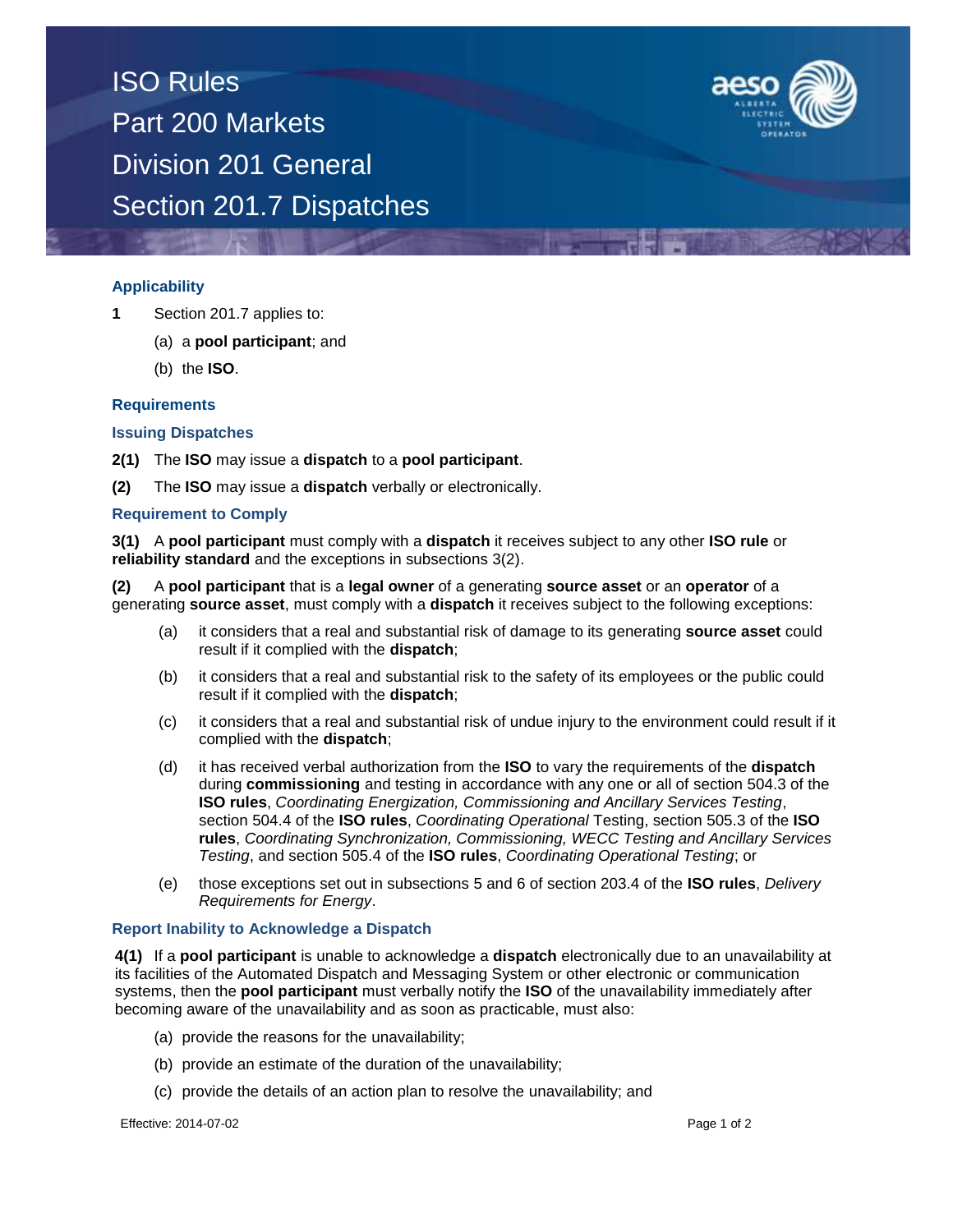



## **Applicability**

- **1** Section 201.7 applies to:
	- (a) a **pool participant**; and
	- (b) the **ISO**.

#### **Requirements**

#### **Issuing Dispatches**

- **2(1)** The **ISO** may issue a **dispatch** to a **pool participant**.
- **(2)** The **ISO** may issue a **dispatch** verbally or electronically.

## **Requirement to Comply**

**3(1)** A **pool participant** must comply with a **dispatch** it receives subject to any other **ISO rule** or **reliability standard** and the exceptions in subsections 3(2).

**(2)** A **pool participant** that is a **legal owner** of a generating **source asset** or an **operator** of a generating **source asset**, must comply with a **dispatch** it receives subject to the following exceptions:

- (a) it considers that a real and substantial risk of damage to its generating **source asset** could result if it complied with the **dispatch**;
- (b) it considers that a real and substantial risk to the safety of its employees or the public could result if it complied with the **dispatch**;
- (c) it considers that a real and substantial risk of undue injury to the environment could result if it complied with the **dispatch**;
- (d) it has received verbal authorization from the **ISO** to vary the requirements of the **dispatch**  during **commissioning** and testing in accordance with any one or all of section 504.3 of the **ISO rules**, *Coordinating Energization, Commissioning and Ancillary Services Testing*, section 504.4 of the **ISO rules**, *Coordinating Operational* Testing, section 505.3 of the **ISO rules**, *Coordinating Synchronization, Commissioning, WECC Testing and Ancillary Services Testing*, and section 505.4 of the **ISO rules**, *Coordinating Operational Testing*; or
- (e) those exceptions set out in subsections 5 and 6 of section 203.4 of the **ISO rules**, *Delivery Requirements for Energy*.

### **Report Inability to Acknowledge a Dispatch**

**4(1)** If a **pool participant** is unable to acknowledge a **dispatch** electronically due to an unavailability at its facilities of the Automated Dispatch and Messaging System or other electronic or communication systems, then the **pool participant** must verbally notify the **ISO** of the unavailability immediately after becoming aware of the unavailability and as soon as practicable, must also:

- (a) provide the reasons for the unavailability;
- (b) provide an estimate of the duration of the unavailability;
- (c) provide the details of an action plan to resolve the unavailability; and